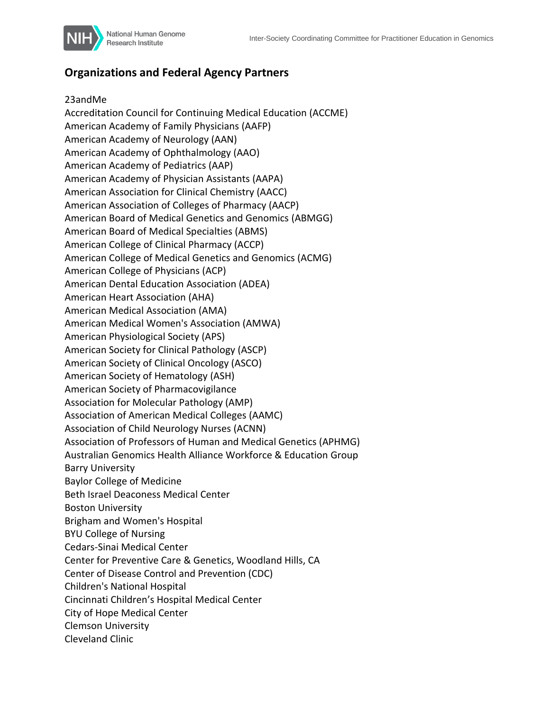

## **Organizations and Federal Agency Partners**

## 23andMe

Accreditation Council for Continuing Medical Education (ACCME) American Academy of Family Physicians (AAFP) American Academy of Neurology (AAN) American Academy of Ophthalmology (AAO) American Academy of Pediatrics (AAP) American Academy of Physician Assistants (AAPA) American Association for Clinical Chemistry (AACC) American Association of Colleges of Pharmacy (AACP) American Board of Medical Genetics and Genomics (ABMGG) American Board of Medical Specialties (ABMS) American College of Clinical Pharmacy (ACCP) American College of Medical Genetics and Genomics (ACMG) American College of Physicians (ACP) American Dental Education Association (ADEA) American Heart Association (AHA) American Medical Association (AMA) American Medical Women's Association (AMWA) American Physiological Society (APS) American Society for Clinical Pathology (ASCP) American Society of Clinical Oncology (ASCO) American Society of Hematology (ASH) American Society of Pharmacovigilance Association for Molecular Pathology (AMP) Association of American Medical Colleges (AAMC) Association of Child Neurology Nurses (ACNN) Association of Professors of Human and Medical Genetics (APHMG) Australian Genomics Health Alliance Workforce & Education Group Barry University Baylor College of Medicine Beth Israel Deaconess Medical Center Boston University Brigham and Women's Hospital BYU College of Nursing Cedars-Sinai Medical Center Center for Preventive Care & Genetics, Woodland Hills, CA Center of Disease Control and Prevention (CDC) Children's National Hospital Cincinnati Children's Hospital Medical Center City of Hope Medical Center Clemson University Cleveland Clinic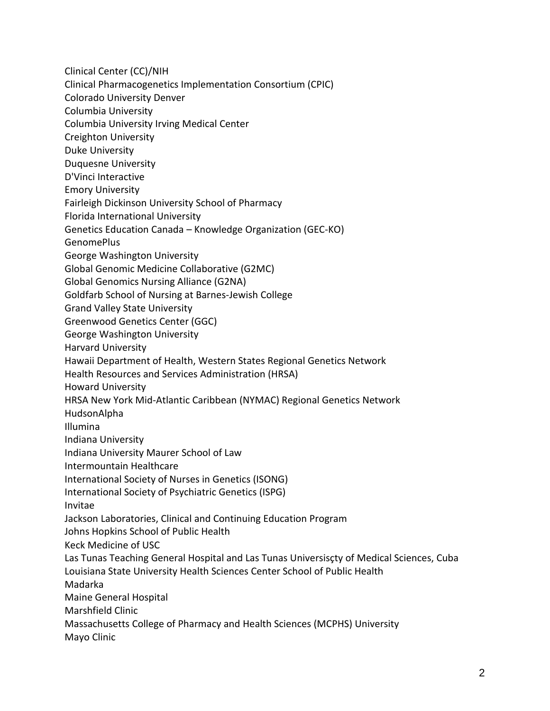Clinical Center (CC)/NIH

- Clinical Pharmacogenetics Implementation Consortium (CPIC)
- Colorado University Denver
- Columbia University
- Columbia University Irving Medical Center
- Creighton University
- Duke University
- Duquesne University
- D'Vinci Interactive
- Emory University
- Fairleigh Dickinson University School of Pharmacy
- Florida International University
- Genetics Education Canada Knowledge Organization (GEC-KO)
- GenomePlus
- George Washington University
- Global Genomic Medicine Collaborative (G2MC)
- Global Genomics Nursing Alliance (G2NA)
- Goldfarb School of Nursing at Barnes-Jewish College
- Grand Valley State University
- Greenwood Genetics Center (GGC)
- George Washington University
- Harvard University
- Hawaii Department of Health, Western States Regional Genetics Network
- Health Resources and Services Administration (HRSA)
- Howard University
- HRSA New York Mid-Atlantic Caribbean (NYMAC) Regional Genetics Network
- HudsonAlpha
- Illumina
- Indiana University
- Indiana University Maurer School of Law
- Intermountain Healthcare
- International Society of Nurses in Genetics (ISONG)
- International Society of Psychiatric Genetics (ISPG)
- Invitae
- Jackson Laboratories, Clinical and Continuing Education Program
- Johns Hopkins School of Public Health
- Keck Medicine of USC
- Las Tunas Teaching General Hospital and Las Tunas Universisçty of Medical Sciences, Cuba Louisiana State University Health Sciences Center School of Public Health
- Madarka
- Maine General Hospital
- Marshfield Clinic
- Massachusetts College of Pharmacy and Health Sciences (MCPHS) University Mayo Clinic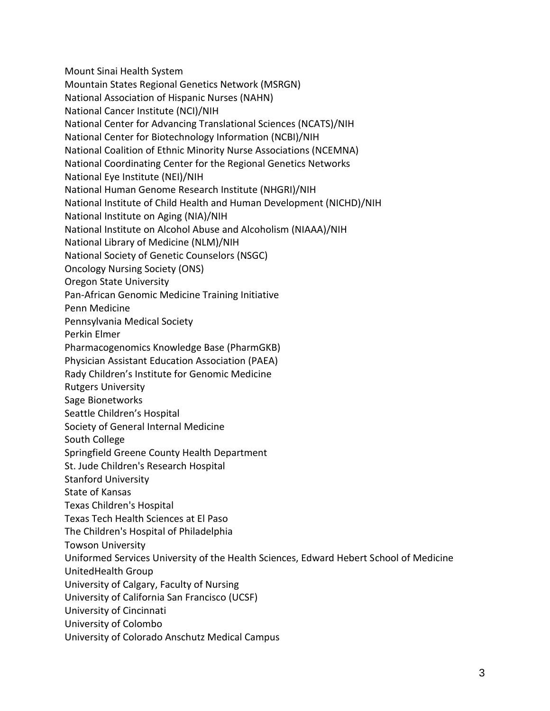Mount Sinai Health System Mountain States Regional Genetics Network (MSRGN) National Association of Hispanic Nurses (NAHN) National Cancer Institute (NCI)/NIH National Center for Advancing Translational Sciences (NCATS)/NIH National Center for Biotechnology Information (NCBI)/NIH National Coalition of Ethnic Minority Nurse Associations (NCEMNA) National Coordinating Center for the Regional Genetics Networks National Eye Institute (NEI)/NIH National Human Genome Research Institute (NHGRI)/NIH National Institute of Child Health and Human Development (NICHD)/NIH National Institute on Aging (NIA)/NIH National Institute on Alcohol Abuse and Alcoholism (NIAAA)/NIH National Library of Medicine (NLM)/NIH National Society of Genetic Counselors (NSGC) Oncology Nursing Society (ONS) Oregon State University Pan-African Genomic Medicine Training Initiative Penn Medicine Pennsylvania Medical Society Perkin Elmer Pharmacogenomics Knowledge Base (PharmGKB) Physician Assistant Education Association (PAEA) Rady Children's Institute for Genomic Medicine Rutgers University Sage Bionetworks Seattle Children's Hospital Society of General Internal Medicine South College Springfield Greene County Health Department St. Jude Children's Research Hospital Stanford University State of Kansas Texas Children's Hospital Texas Tech Health Sciences at El Paso The Children's Hospital of Philadelphia Towson University Uniformed Services University of the Health Sciences, Edward Hebert School of Medicine UnitedHealth Group University of Calgary, Faculty of Nursing University of California San Francisco (UCSF) University of Cincinnati University of Colombo University of Colorado Anschutz Medical Campus